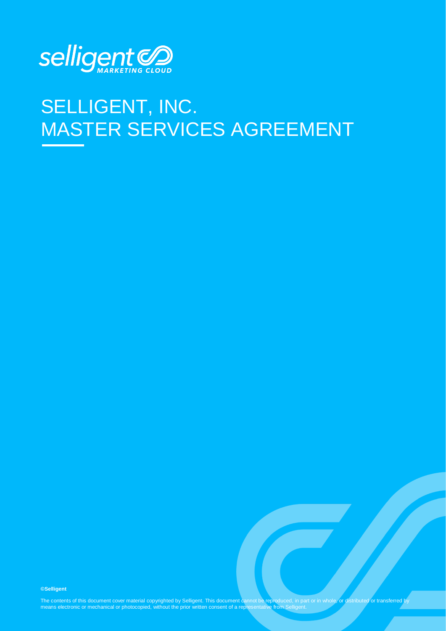

# SELLIGENT, INC. MASTER SERVICES AGREEMENT

**©Selligent** 

Selligent, Inc. – Master Services Agreement – Master Services Agreement – North America (11/02/2017 – 11/02/20<br>The Services Agreement – North America (11/02/2017 – 12/07/2018) 11/02/2018 11/02/2018 11/02/2018 11/02/2018 1 The contents of this document cover material copyrighted by Selligent. This document cannot be reproduced, in part or in whole, or distributed or transferred by means electronic or mechanical or photocopied, without the prior written consent of a representative from Selligent.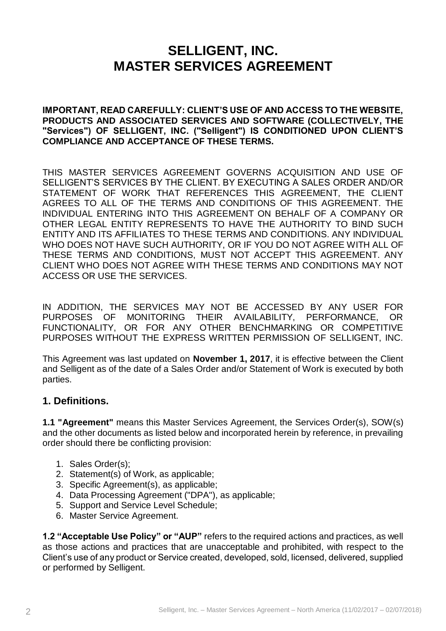# **SELLIGENT, INC. MASTER SERVICES AGREEMENT**

#### **IMPORTANT, READ CAREFULLY: CLIENT'S USE OF AND ACCESS TO THE WEBSITE, PRODUCTS AND ASSOCIATED SERVICES AND SOFTWARE (COLLECTIVELY, THE "Services") OF SELLIGENT, INC. ("Selligent") IS CONDITIONED UPON CLIENT'S COMPLIANCE AND ACCEPTANCE OF THESE TERMS.**

THIS MASTER SERVICES AGREEMENT GOVERNS ACQUISITION AND USE OF SELLIGENT'S SERVICES BY THE CLIENT. BY EXECUTING A SALES ORDER AND/OR STATEMENT OF WORK THAT REFERENCES THIS AGREEMENT, THE CLIENT AGREES TO ALL OF THE TERMS AND CONDITIONS OF THIS AGREEMENT. THE INDIVIDUAL ENTERING INTO THIS AGREEMENT ON BEHALF OF A COMPANY OR OTHER LEGAL ENTITY REPRESENTS TO HAVE THE AUTHORITY TO BIND SUCH ENTITY AND ITS AFFILIATES TO THESE TERMS AND CONDITIONS. ANY INDIVIDUAL WHO DOES NOT HAVE SUCH AUTHORITY, OR IF YOU DO NOT AGREE WITH ALL OF THESE TERMS AND CONDITIONS, MUST NOT ACCEPT THIS AGREEMENT. ANY CLIENT WHO DOES NOT AGREE WITH THESE TERMS AND CONDITIONS MAY NOT ACCESS OR USE THE SERVICES.

IN ADDITION, THE SERVICES MAY NOT BE ACCESSED BY ANY USER FOR PURPOSES OF MONITORING THEIR AVAILABILITY, PERFORMANCE, OR FUNCTIONALITY, OR FOR ANY OTHER BENCHMARKING OR COMPETITIVE PURPOSES WITHOUT THE EXPRESS WRITTEN PERMISSION OF SELLIGENT, INC.

This Agreement was last updated on **November 1, 2017**, it is effective between the Client and Selligent as of the date of a Sales Order and/or Statement of Work is executed by both parties.

#### **1. Definitions.**

**1.1 "Agreement"** means this Master Services Agreement, the Services Order(s), SOW(s) and the other documents as listed below and incorporated herein by reference, in prevailing order should there be conflicting provision:

- 1. Sales Order(s);
- 2. Statement(s) of Work, as applicable;
- 3. Specific Agreement(s), as applicable;
- 4. Data Processing Agreement ("DPA"), as applicable;
- 5. Support and Service Level Schedule;
- 6. Master Service Agreement.

**1.2 "Acceptable Use Policy" or "AUP"** refers to the required actions and practices, as well as those actions and practices that are unacceptable and prohibited, with respect to the Client's use of any product or Service created, developed, sold, licensed, delivered, supplied or performed by Selligent.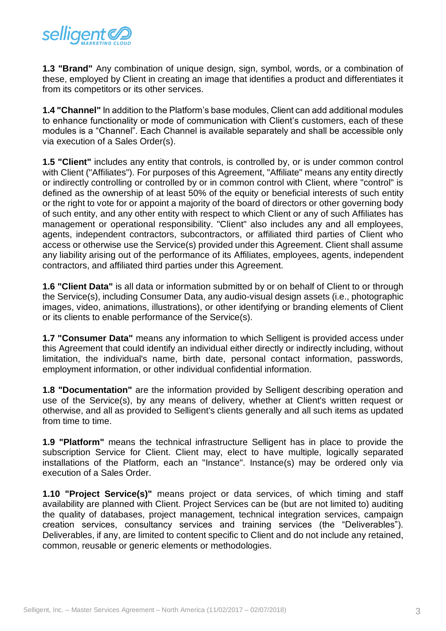

**1.3 "Brand"** Any combination of unique design, sign, symbol, words, or a combination of these, employed by Client in creating an image that identifies a product and differentiates it from its competitors or its other services.

**1.4 "Channel"** In addition to the Platform's base modules, Client can add additional modules to enhance functionality or mode of communication with Client's customers, each of these modules is a "Channel". Each Channel is available separately and shall be accessible only via execution of a Sales Order(s).

**1.5 "Client"** includes any entity that controls, is controlled by, or is under common control with Client ("Affiliates"). For purposes of this Agreement, "Affiliate" means any entity directly or indirectly controlling or controlled by or in common control with Client, where "control" is defined as the ownership of at least 50% of the equity or beneficial interests of such entity or the right to vote for or appoint a majority of the board of directors or other governing body of such entity, and any other entity with respect to which Client or any of such Affiliates has management or operational responsibility. "Client" also includes any and all employees, agents, independent contractors, subcontractors, or affiliated third parties of Client who access or otherwise use the Service(s) provided under this Agreement. Client shall assume any liability arising out of the performance of its Affiliates, employees, agents, independent contractors, and affiliated third parties under this Agreement.

**1.6 "Client Data"** is all data or information submitted by or on behalf of Client to or through the Service(s), including Consumer Data, any audio-visual design assets (i.e., photographic images, video, animations, illustrations), or other identifying or branding elements of Client or its clients to enable performance of the Service(s).

**1.7 "Consumer Data"** means any information to which Selligent is provided access under this Agreement that could identify an individual either directly or indirectly including, without limitation, the individual's name, birth date, personal contact information, passwords, employment information, or other individual confidential information.

**1.8 "Documentation"** are the information provided by Selligent describing operation and use of the Service(s), by any means of delivery, whether at Client's written request or otherwise, and all as provided to Selligent's clients generally and all such items as updated from time to time.

**1.9 "Platform"** means the technical infrastructure Selligent has in place to provide the subscription Service for Client. Client may, elect to have multiple, logically separated installations of the Platform, each an "Instance". Instance(s) may be ordered only via execution of a Sales Order.

**1.10 "Project Service(s)"** means project or data services, of which timing and staff availability are planned with Client. Project Services can be (but are not limited to) auditing the quality of databases, project management, technical integration services, campaign creation services, consultancy services and training services (the "Deliverables"). Deliverables, if any, are limited to content specific to Client and do not include any retained, common, reusable or generic elements or methodologies.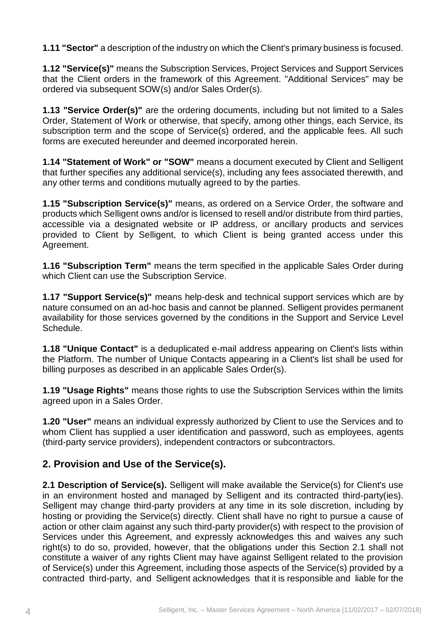**1.11 "Sector"** a description of the industry on which the Client's primary business is focused.

**1.12 "Service(s)"** means the Subscription Services, Project Services and Support Services that the Client orders in the framework of this Agreement. "Additional Services" may be ordered via subsequent SOW(s) and/or Sales Order(s).

**1.13 "Service Order(s)"** are the ordering documents, including but not limited to a Sales Order, Statement of Work or otherwise, that specify, among other things, each Service, its subscription term and the scope of Service(s) ordered, and the applicable fees. All such forms are executed hereunder and deemed incorporated herein.

**1.14 "Statement of Work" or "SOW"** means a document executed by Client and Selligent that further specifies any additional service(s), including any fees associated therewith, and any other terms and conditions mutually agreed to by the parties.

**1.15 "Subscription Service(s)"** means, as ordered on a Service Order, the software and products which Selligent owns and/or is licensed to resell and/or distribute from third parties, accessible via a designated website or IP address, or ancillary products and services provided to Client by Selligent, to which Client is being granted access under this Agreement.

**1.16 "Subscription Term"** means the term specified in the applicable Sales Order during which Client can use the Subscription Service.

**1.17 "Support Service(s)"** means help-desk and technical support services which are by nature consumed on an ad-hoc basis and cannot be planned. Selligent provides permanent availability for those services governed by the conditions in the Support and Service Level Schedule.

**1.18 "Unique Contact"** is a deduplicated e-mail address appearing on Client's lists within the Platform. The number of Unique Contacts appearing in a Client's list shall be used for billing purposes as described in an applicable Sales Order(s).

**1.19 "Usage Rights"** means those rights to use the Subscription Services within the limits agreed upon in a Sales Order.

**1.20 "User"** means an individual expressly authorized by Client to use the Services and to whom Client has supplied a user identification and password, such as employees, agents (third-party service providers), independent contractors or subcontractors.

## **2. Provision and Use of the Service(s).**

2.1 Description of Service(s). Selligent will make available the Service(s) for Client's use in an environment hosted and managed by Selligent and its contracted third-party(ies). Selligent may change third-party providers at any time in its sole discretion, including by hosting or providing the Service(s) directly. Client shall have no right to pursue a cause of action or other claim against any such third-party provider(s) with respect to the provision of Services under this Agreement, and expressly acknowledges this and waives any such right(s) to do so, provided, however, that the obligations under this Section 2.1 shall not constitute a waiver of any rights Client may have against Selligent related to the provision of Service(s) under this Agreement, including those aspects of the Service(s) provided by a contracted third-party, and Selligent acknowledges that it is responsible and liable for the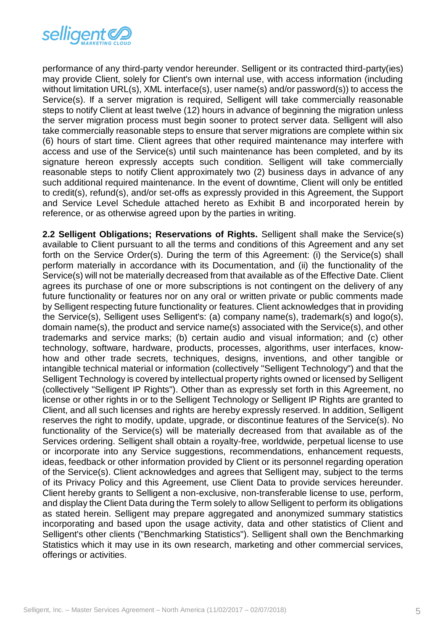

performance of any third-party vendor hereunder. Selligent or its contracted third-party(ies) may provide Client, solely for Client's own internal use, with access information (including without limitation URL(s), XML interface(s), user name(s) and/or password(s)) to access the Service(s). If a server migration is required, Selligent will take commercially reasonable steps to notify Client at least twelve (12) hours in advance of beginning the migration unless the server migration process must begin sooner to protect server data. Selligent will also take commercially reasonable steps to ensure that server migrations are complete within six (6) hours of start time. Client agrees that other required maintenance may interfere with access and use of the Service(s) until such maintenance has been completed, and by its signature hereon expressly accepts such condition. Selligent will take commercially reasonable steps to notify Client approximately two (2) business days in advance of any such additional required maintenance. In the event of downtime, Client will only be entitled to credit(s), refund(s), and/or set-offs as expressly provided in this Agreement, the Support and Service Level Schedule attached hereto as Exhibit B and incorporated herein by reference, or as otherwise agreed upon by the parties in writing.

**2.2 Selligent Obligations; Reservations of Rights.** Selligent shall make the Service(s) available to Client pursuant to all the terms and conditions of this Agreement and any set forth on the Service Order(s). During the term of this Agreement: (i) the Service(s) shall perform materially in accordance with its Documentation, and (ii) the functionality of the Service(s) will not be materially decreased from that available as of the Effective Date. Client agrees its purchase of one or more subscriptions is not contingent on the delivery of any future functionality or features nor on any oral or written private or public comments made by Selligent respecting future functionality or features. Client acknowledges that in providing the Service(s), Selligent uses Selligent's: (a) company name(s), trademark(s) and logo(s), domain name(s), the product and service name(s) associated with the Service(s), and other trademarks and service marks; (b) certain audio and visual information; and (c) other technology, software, hardware, products, processes, algorithms, user interfaces, knowhow and other trade secrets, techniques, designs, inventions, and other tangible or intangible technical material or information (collectively "Selligent Technology") and that the Selligent Technology is covered by intellectual property rights owned or licensed by Selligent (collectively "Selligent IP Rights"). Other than as expressly set forth in this Agreement, no license or other rights in or to the Selligent Technology or Selligent IP Rights are granted to Client, and all such licenses and rights are hereby expressly reserved. In addition, Selligent reserves the right to modify, update, upgrade, or discontinue features of the Service(s). No functionality of the Service(s) will be materially decreased from that available as of the Services ordering. Selligent shall obtain a royalty-free, worldwide, perpetual license to use or incorporate into any Service suggestions, recommendations, enhancement requests, ideas, feedback or other information provided by Client or its personnel regarding operation of the Service(s). Client acknowledges and agrees that Selligent may, subject to the terms of its Privacy Policy and this Agreement, use Client Data to provide services hereunder. Client hereby grants to Selligent a non-exclusive, non-transferable license to use, perform, and display the Client Data during the Term solely to allow Selligent to perform its obligations as stated herein. Selligent may prepare aggregated and anonymized summary statistics incorporating and based upon the usage activity, data and other statistics of Client and Selligent's other clients ("Benchmarking Statistics"). Selligent shall own the Benchmarking Statistics which it may use in its own research, marketing and other commercial services, offerings or activities.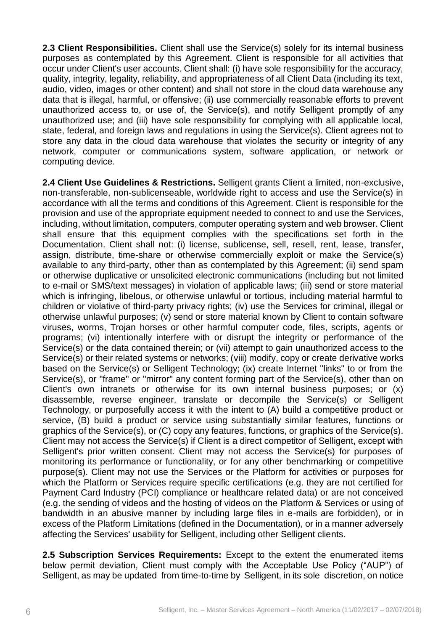**2.3 Client Responsibilities.** Client shall use the Service(s) solely for its internal business purposes as contemplated by this Agreement. Client is responsible for all activities that occur under Client's user accounts. Client shall: (i) have sole responsibility for the accuracy, quality, integrity, legality, reliability, and appropriateness of all Client Data (including its text, audio, video, images or other content) and shall not store in the cloud data warehouse any data that is illegal, harmful, or offensive; (ii) use commercially reasonable efforts to prevent unauthorized access to, or use of, the Service(s), and notify Selligent promptly of any unauthorized use; and (iii) have sole responsibility for complying with all applicable local, state, federal, and foreign laws and regulations in using the Service(s). Client agrees not to store any data in the cloud data warehouse that violates the security or integrity of any network, computer or communications system, software application, or network or computing device.

**2.4 Client Use Guidelines & Restrictions.** Selligent grants Client a limited, non-exclusive, non-transferable, non-sublicenseable, worldwide right to access and use the Service(s) in accordance with all the terms and conditions of this Agreement. Client is responsible for the provision and use of the appropriate equipment needed to connect to and use the Services, including, without limitation, computers, computer operating system and web browser. Client shall ensure that this equipment complies with the specifications set forth in the Documentation. Client shall not: (i) license, sublicense, sell, resell, rent, lease, transfer, assign, distribute, time-share or otherwise commercially exploit or make the Service(s) available to any third-party, other than as contemplated by this Agreement; (ii) send spam or otherwise duplicative or unsolicited electronic communications (including but not limited to e-mail or SMS/text messages) in violation of applicable laws; (iii) send or store material which is infringing, libelous, or otherwise unlawful or tortious, including material harmful to children or violative of third-party privacy rights; (iv) use the Services for criminal, illegal or otherwise unlawful purposes; (v) send or store material known by Client to contain software viruses, worms, Trojan horses or other harmful computer code, files, scripts, agents or programs; (vi) intentionally interfere with or disrupt the integrity or performance of the Service(s) or the data contained therein; or (vii) attempt to gain unauthorized access to the Service(s) or their related systems or networks; (viii) modify, copy or create derivative works based on the Service(s) or Selligent Technology; (ix) create Internet "links" to or from the Service(s), or "frame" or "mirror" any content forming part of the Service(s), other than on Client's own intranets or otherwise for its own internal business purposes; or (x) disassemble, reverse engineer, translate or decompile the Service(s) or Selligent Technology, or purposefully access it with the intent to (A) build a competitive product or service, (B) build a product or service using substantially similar features, functions or graphics of the Service(s), or (C) copy any features, functions, or graphics of the Service(s). Client may not access the Service(s) if Client is a direct competitor of Selligent, except with Selligent's prior written consent. Client may not access the Service(s) for purposes of monitoring its performance or functionality, or for any other benchmarking or competitive purpose(s). Client may not use the Services or the Platform for activities or purposes for which the Platform or Services require specific certifications (e.g. they are not certified for Payment Card Industry (PCI) compliance or healthcare related data) or are not conceived (e.g. the sending of videos and the hosting of videos on the Platform & Services or using of bandwidth in an abusive manner by including large files in e-mails are forbidden), or in excess of the Platform Limitations (defined in the Documentation), or in a manner adversely affecting the Services' usability for Selligent, including other Selligent clients.

**2.5 Subscription Services Requirements:** Except to the extent the enumerated items below permit deviation, Client must comply with the Acceptable Use Policy ("AUP") of Selligent, as may be updated from time-to-time by Selligent, in its sole discretion, on notice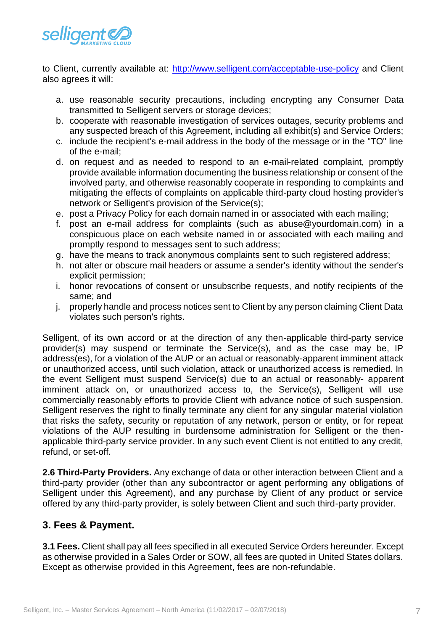

to Client, currently available at:<http://www.selligent.com/acceptable-use-policy> and Client also agrees it will:

- a. use reasonable security precautions, including encrypting any Consumer Data transmitted to Selligent servers or storage devices;
- b. cooperate with reasonable investigation of services outages, security problems and any suspected breach of this Agreement, including all exhibit(s) and Service Orders;
- c. include the recipient's e-mail address in the body of the message or in the "TO" line of the e-mail;
- d. on request and as needed to respond to an e-mail-related complaint, promptly provide available information documenting the business relationship or consent of the involved party, and otherwise reasonably cooperate in responding to complaints and mitigating the effects of complaints on applicable third-party cloud hosting provider's network or Selligent's provision of the Service(s);
- e. post a Privacy Policy for each domain named in or associated with each mailing;
- f. post an e-mail address for complaints (such as abuse@yourdomain.com) in a conspicuous place on each website named in or associated with each mailing and promptly respond to messages sent to such address;
- g. have the means to track anonymous complaints sent to such registered address;
- h. not alter or obscure mail headers or assume a sender's identity without the sender's explicit permission;
- i. honor revocations of consent or unsubscribe requests, and notify recipients of the same; and
- j. properly handle and process notices sent to Client by any person claiming Client Data violates such person's rights.

Selligent, of its own accord or at the direction of any then-applicable third-party service provider(s) may suspend or terminate the Service(s), and as the case may be, IP address(es), for a violation of the AUP or an actual or reasonably-apparent imminent attack or unauthorized access, until such violation, attack or unauthorized access is remedied. In the event Selligent must suspend Service(s) due to an actual or reasonably- apparent imminent attack on, or unauthorized access to, the Service(s), Selligent will use commercially reasonably efforts to provide Client with advance notice of such suspension. Selligent reserves the right to finally terminate any client for any singular material violation that risks the safety, security or reputation of any network, person or entity, or for repeat violations of the AUP resulting in burdensome administration for Selligent or the thenapplicable third-party service provider. In any such event Client is not entitled to any credit, refund, or set-off.

**2.6 Third-Party Providers.** Any exchange of data or other interaction between Client and a third-party provider (other than any subcontractor or agent performing any obligations of Selligent under this Agreement), and any purchase by Client of any product or service offered by any third-party provider, is solely between Client and such third-party provider.

#### **3. Fees & Payment.**

**3.1 Fees.** Client shall pay all fees specified in all executed Service Orders hereunder. Except as otherwise provided in a Sales Order or SOW, all fees are quoted in United States dollars. Except as otherwise provided in this Agreement, fees are non-refundable.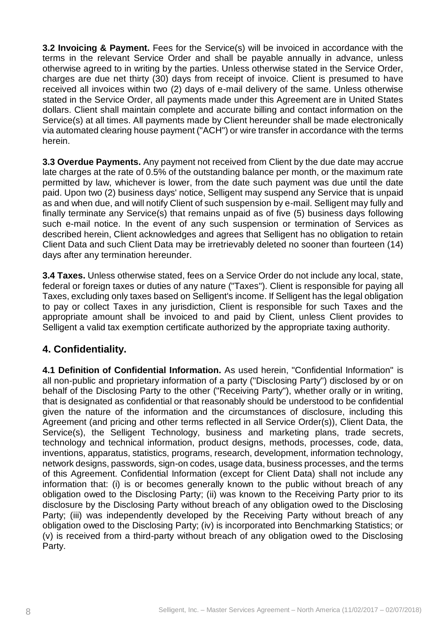**3.2 Invoicing & Payment.** Fees for the Service(s) will be invoiced in accordance with the terms in the relevant Service Order and shall be payable annually in advance, unless otherwise agreed to in writing by the parties. Unless otherwise stated in the Service Order, charges are due net thirty (30) days from receipt of invoice. Client is presumed to have received all invoices within two (2) days of e-mail delivery of the same. Unless otherwise stated in the Service Order, all payments made under this Agreement are in United States dollars. Client shall maintain complete and accurate billing and contact information on the Service(s) at all times. All payments made by Client hereunder shall be made electronically via automated clearing house payment ("ACH") or wire transfer in accordance with the terms herein.

**3.3 Overdue Payments.** Any payment not received from Client by the due date may accrue late charges at the rate of 0.5% of the outstanding balance per month, or the maximum rate permitted by law, whichever is lower, from the date such payment was due until the date paid. Upon two (2) business days' notice, Selligent may suspend any Service that is unpaid as and when due, and will notify Client of such suspension by e-mail. Selligent may fully and finally terminate any Service(s) that remains unpaid as of five (5) business days following such e-mail notice. In the event of any such suspension or termination of Services as described herein, Client acknowledges and agrees that Selligent has no obligation to retain Client Data and such Client Data may be irretrievably deleted no sooner than fourteen (14) days after any termination hereunder.

**3.4 Taxes.** Unless otherwise stated, fees on a Service Order do not include any local, state, federal or foreign taxes or duties of any nature ("Taxes"). Client is responsible for paying all Taxes, excluding only taxes based on Selligent's income. If Selligent has the legal obligation to pay or collect Taxes in any jurisdiction, Client is responsible for such Taxes and the appropriate amount shall be invoiced to and paid by Client, unless Client provides to Selligent a valid tax exemption certificate authorized by the appropriate taxing authority.

## **4. Confidentiality.**

**4.1 Definition of Confidential Information.** As used herein, "Confidential Information" is all non-public and proprietary information of a party ("Disclosing Party") disclosed by or on behalf of the Disclosing Party to the other ("Receiving Party"), whether orally or in writing, that is designated as confidential or that reasonably should be understood to be confidential given the nature of the information and the circumstances of disclosure, including this Agreement (and pricing and other terms reflected in all Service Order(s)), Client Data, the Service(s), the Selligent Technology, business and marketing plans, trade secrets, technology and technical information, product designs, methods, processes, code, data, inventions, apparatus, statistics, programs, research, development, information technology, network designs, passwords, sign-on codes, usage data, business processes, and the terms of this Agreement. Confidential Information (except for Client Data) shall not include any information that: (i) is or becomes generally known to the public without breach of any obligation owed to the Disclosing Party; (ii) was known to the Receiving Party prior to its disclosure by the Disclosing Party without breach of any obligation owed to the Disclosing Party; (iii) was independently developed by the Receiving Party without breach of any obligation owed to the Disclosing Party; (iv) is incorporated into Benchmarking Statistics; or (v) is received from a third-party without breach of any obligation owed to the Disclosing Party.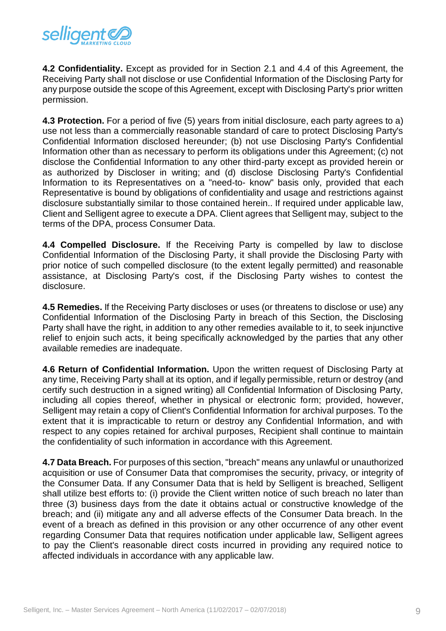

**4.2 Confidentiality.** Except as provided for in Section 2.1 and 4.4 of this Agreement, the Receiving Party shall not disclose or use Confidential Information of the Disclosing Party for any purpose outside the scope of this Agreement, except with Disclosing Party's prior written permission.

**4.3 Protection.** For a period of five (5) years from initial disclosure, each party agrees to a) use not less than a commercially reasonable standard of care to protect Disclosing Party's Confidential Information disclosed hereunder; (b) not use Disclosing Party's Confidential Information other than as necessary to perform its obligations under this Agreement; (c) not disclose the Confidential Information to any other third-party except as provided herein or as authorized by Discloser in writing; and (d) disclose Disclosing Party's Confidential Information to its Representatives on a "need-to- know" basis only, provided that each Representative is bound by obligations of confidentiality and usage and restrictions against disclosure substantially similar to those contained herein.. If required under applicable law, Client and Selligent agree to execute a DPA. Client agrees that Selligent may, subject to the terms of the DPA, process Consumer Data.

**4.4 Compelled Disclosure.** If the Receiving Party is compelled by law to disclose Confidential Information of the Disclosing Party, it shall provide the Disclosing Party with prior notice of such compelled disclosure (to the extent legally permitted) and reasonable assistance, at Disclosing Party's cost, if the Disclosing Party wishes to contest the disclosure.

**4.5 Remedies.** If the Receiving Party discloses or uses (or threatens to disclose or use) any Confidential Information of the Disclosing Party in breach of this Section, the Disclosing Party shall have the right, in addition to any other remedies available to it, to seek injunctive relief to enjoin such acts, it being specifically acknowledged by the parties that any other available remedies are inadequate.

**4.6 Return of Confidential Information.** Upon the written request of Disclosing Party at any time, Receiving Party shall at its option, and if legally permissible, return or destroy (and certify such destruction in a signed writing) all Confidential Information of Disclosing Party, including all copies thereof, whether in physical or electronic form; provided, however, Selligent may retain a copy of Client's Confidential Information for archival purposes. To the extent that it is impracticable to return or destroy any Confidential Information, and with respect to any copies retained for archival purposes, Recipient shall continue to maintain the confidentiality of such information in accordance with this Agreement.

**4.7 Data Breach.** For purposes of this section, "breach" means any unlawful or unauthorized acquisition or use of Consumer Data that compromises the security, privacy, or integrity of the Consumer Data. If any Consumer Data that is held by Selligent is breached, Selligent shall utilize best efforts to: (i) provide the Client written notice of such breach no later than three (3) business days from the date it obtains actual or constructive knowledge of the breach; and (ii) mitigate any and all adverse effects of the Consumer Data breach. In the event of a breach as defined in this provision or any other occurrence of any other event regarding Consumer Data that requires notification under applicable law, Selligent agrees to pay the Client's reasonable direct costs incurred in providing any required notice to affected individuals in accordance with any applicable law.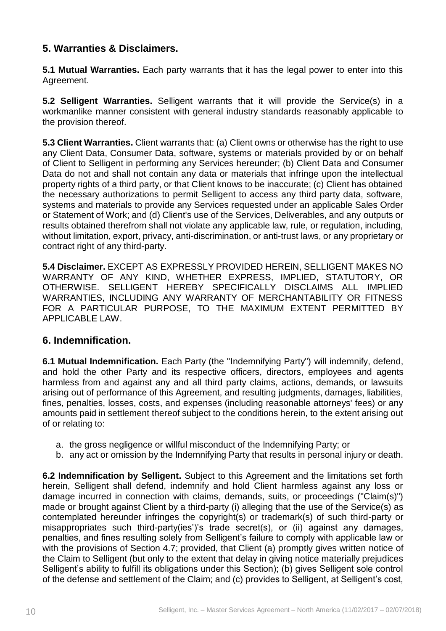#### **5. Warranties & Disclaimers.**

**5.1 Mutual Warranties.** Each party warrants that it has the legal power to enter into this Agreement.

**5.2 Selligent Warranties.** Selligent warrants that it will provide the Service(s) in a workmanlike manner consistent with general industry standards reasonably applicable to the provision thereof.

**5.3 Client Warranties.** Client warrants that: (a) Client owns or otherwise has the right to use any Client Data, Consumer Data, software, systems or materials provided by or on behalf of Client to Selligent in performing any Services hereunder; (b) Client Data and Consumer Data do not and shall not contain any data or materials that infringe upon the intellectual property rights of a third party, or that Client knows to be inaccurate; (c) Client has obtained the necessary authorizations to permit Selligent to access any third party data, software, systems and materials to provide any Services requested under an applicable Sales Order or Statement of Work; and (d) Client's use of the Services, Deliverables, and any outputs or results obtained therefrom shall not violate any applicable law, rule, or regulation, including, without limitation, export, privacy, anti-discrimination, or anti-trust laws, or any proprietary or contract right of any third-party.

**5.4 Disclaimer.** EXCEPT AS EXPRESSLY PROVIDED HEREIN, SELLIGENT MAKES NO WARRANTY OF ANY KIND, WHETHER EXPRESS, IMPLIED, STATUTORY, OR OTHERWISE. SELLIGENT HEREBY SPECIFICALLY DISCLAIMS ALL IMPLIED WARRANTIES, INCLUDING ANY WARRANTY OF MERCHANTABILITY OR FITNESS FOR A PARTICULAR PURPOSE, TO THE MAXIMUM EXTENT PERMITTED BY APPLICABLE LAW.

#### **6. Indemnification.**

**6.1 Mutual Indemnification.** Each Party (the "Indemnifying Party") will indemnify, defend, and hold the other Party and its respective officers, directors, employees and agents harmless from and against any and all third party claims, actions, demands, or lawsuits arising out of performance of this Agreement, and resulting judgments, damages, liabilities, fines, penalties, losses, costs, and expenses (including reasonable attorneys' fees) or any amounts paid in settlement thereof subject to the conditions herein, to the extent arising out of or relating to:

- a. the gross negligence or willful misconduct of the Indemnifying Party; or
- b. any act or omission by the Indemnifying Party that results in personal injury or death.

**6.2 Indemnification by Selligent.** Subject to this Agreement and the limitations set forth herein, Selligent shall defend, indemnify and hold Client harmless against any loss or damage incurred in connection with claims, demands, suits, or proceedings ("Claim(s)") made or brought against Client by a third-party (i) alleging that the use of the Service(s) as contemplated hereunder infringes the copyright(s) or trademark(s) of such third-party or misappropriates such third-party(ies')'s trade secret(s), or (ii) against any damages, penalties, and fines resulting solely from Selligent's failure to comply with applicable law or with the provisions of Section 4.7; provided, that Client (a) promptly gives written notice of the Claim to Selligent (but only to the extent that delay in giving notice materially prejudices Selligent's ability to fulfill its obligations under this Section); (b) gives Selligent sole control of the defense and settlement of the Claim; and (c) provides to Selligent, at Selligent's cost,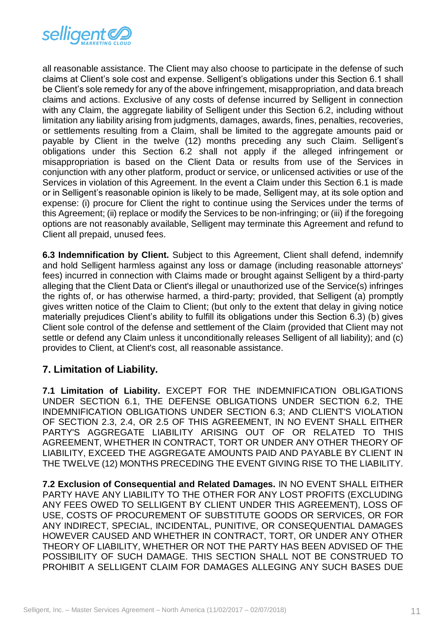

all reasonable assistance. The Client may also choose to participate in the defense of such claims at Client's sole cost and expense. Selligent's obligations under this Section 6.1 shall be Client's sole remedy for any of the above infringement, misappropriation, and data breach claims and actions. Exclusive of any costs of defense incurred by Selligent in connection with any Claim, the aggregate liability of Selligent under this Section 6.2, including without limitation any liability arising from judgments, damages, awards, fines, penalties, recoveries, or settlements resulting from a Claim, shall be limited to the aggregate amounts paid or payable by Client in the twelve (12) months preceding any such Claim. Selligent's obligations under this Section 6.2 shall not apply if the alleged infringement or misappropriation is based on the Client Data or results from use of the Services in conjunction with any other platform, product or service, or unlicensed activities or use of the Services in violation of this Agreement. In the event a Claim under this Section 6.1 is made or in Selligent's reasonable opinion is likely to be made, Selligent may, at its sole option and expense: (i) procure for Client the right to continue using the Services under the terms of this Agreement; (ii) replace or modify the Services to be non-infringing; or (iii) if the foregoing options are not reasonably available, Selligent may terminate this Agreement and refund to Client all prepaid, unused fees.

**6.3 Indemnification by Client.** Subject to this Agreement, Client shall defend, indemnify and hold Selligent harmless against any loss or damage (including reasonable attorneys' fees) incurred in connection with Claims made or brought against Selligent by a third-party alleging that the Client Data or Client's illegal or unauthorized use of the Service(s) infringes the rights of, or has otherwise harmed, a third-party; provided, that Selligent (a) promptly gives written notice of the Claim to Client; (but only to the extent that delay in giving notice materially prejudices Client's ability to fulfill its obligations under this Section 6.3) (b) gives Client sole control of the defense and settlement of the Claim (provided that Client may not settle or defend any Claim unless it unconditionally releases Selligent of all liability); and (c) provides to Client, at Client's cost, all reasonable assistance.

#### **7. Limitation of Liability.**

**7.1 Limitation of Liability.** EXCEPT FOR THE INDEMNIFICATION OBLIGATIONS UNDER SECTION 6.1, THE DEFENSE OBLIGATIONS UNDER SECTION 6.2, THE INDEMNIFICATION OBLIGATIONS UNDER SECTION 6.3; AND CLIENT'S VIOLATION OF SECTION 2.3, 2.4, OR 2.5 OF THIS AGREEMENT, IN NO EVENT SHALL EITHER PARTY'S AGGREGATE LIABILITY ARISING OUT OF OR RELATED TO THIS AGREEMENT, WHETHER IN CONTRACT, TORT OR UNDER ANY OTHER THEORY OF LIABILITY, EXCEED THE AGGREGATE AMOUNTS PAID AND PAYABLE BY CLIENT IN THE TWELVE (12) MONTHS PRECEDING THE EVENT GIVING RISE TO THE LIABILITY.

**7.2 Exclusion of Consequential and Related Damages.** IN NO EVENT SHALL EITHER PARTY HAVE ANY LIABILITY TO THE OTHER FOR ANY LOST PROFITS (EXCLUDING ANY FEES OWED TO SELLIGENT BY CLIENT UNDER THIS AGREEMENT), LOSS OF USE, COSTS OF PROCUREMENT OF SUBSTITUTE GOODS OR SERVICES, OR FOR ANY INDIRECT, SPECIAL, INCIDENTAL, PUNITIVE, OR CONSEQUENTIAL DAMAGES HOWEVER CAUSED AND WHETHER IN CONTRACT, TORT, OR UNDER ANY OTHER THEORY OF LIABILITY, WHETHER OR NOT THE PARTY HAS BEEN ADVISED OF THE POSSIBILITY OF SUCH DAMAGE. THIS SECTION SHALL NOT BE CONSTRUED TO PROHIBIT A SELLIGENT CLAIM FOR DAMAGES ALLEGING ANY SUCH BASES DUE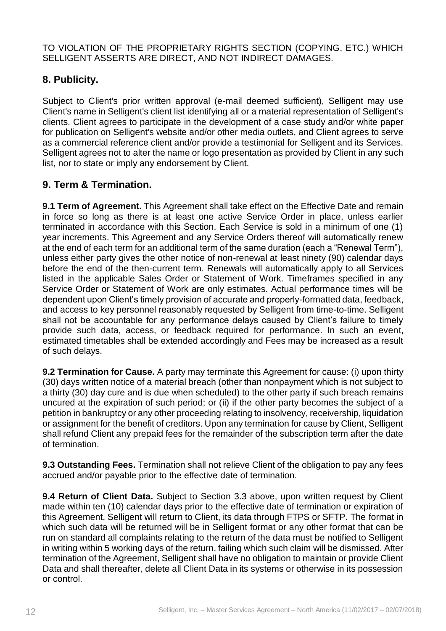TO VIOLATION OF THE PROPRIETARY RIGHTS SECTION (COPYING, ETC.) WHICH SELLIGENT ASSERTS ARE DIRECT, AND NOT INDIRECT DAMAGES.

## **8. Publicity.**

Subject to Client's prior written approval (e-mail deemed sufficient), Selligent may use Client's name in Selligent's client list identifying all or a material representation of Selligent's clients. Client agrees to participate in the development of a case study and/or white paper for publication on Selligent's website and/or other media outlets, and Client agrees to serve as a commercial reference client and/or provide a testimonial for Selligent and its Services. Selligent agrees not to alter the name or logo presentation as provided by Client in any such list, nor to state or imply any endorsement by Client.

## **9. Term & Termination.**

**9.1 Term of Agreement.** This Agreement shall take effect on the Effective Date and remain in force so long as there is at least one active Service Order in place, unless earlier terminated in accordance with this Section. Each Service is sold in a minimum of one (1) year increments. This Agreement and any Service Orders thereof will automatically renew at the end of each term for an additional term of the same duration (each a "Renewal Term"), unless either party gives the other notice of non-renewal at least ninety (90) calendar days before the end of the then-current term. Renewals will automatically apply to all Services listed in the applicable Sales Order or Statement of Work. Timeframes specified in any Service Order or Statement of Work are only estimates. Actual performance times will be dependent upon Client's timely provision of accurate and properly-formatted data, feedback, and access to key personnel reasonably requested by Selligent from time-to-time. Selligent shall not be accountable for any performance delays caused by Client's failure to timely provide such data, access, or feedback required for performance. In such an event, estimated timetables shall be extended accordingly and Fees may be increased as a result of such delays.

**9.2 Termination for Cause.** A party may terminate this Agreement for cause: (i) upon thirty (30) days written notice of a material breach (other than nonpayment which is not subject to a thirty (30) day cure and is due when scheduled) to the other party if such breach remains uncured at the expiration of such period; or (ii) if the other party becomes the subject of a petition in bankruptcy or any other proceeding relating to insolvency, receivership, liquidation or assignment for the benefit of creditors. Upon any termination for cause by Client, Selligent shall refund Client any prepaid fees for the remainder of the subscription term after the date of termination.

**9.3 Outstanding Fees.** Termination shall not relieve Client of the obligation to pay any fees accrued and/or payable prior to the effective date of termination.

**9.4 Return of Client Data.** Subject to Section 3.3 above, upon written request by Client made within ten (10) calendar days prior to the effective date of termination or expiration of this Agreement, Selligent will return to Client, its data through FTPS or SFTP. The format in which such data will be returned will be in Selligent format or any other format that can be run on standard all complaints relating to the return of the data must be notified to Selligent in writing within 5 working days of the return, failing which such claim will be dismissed. After termination of the Agreement, Selligent shall have no obligation to maintain or provide Client Data and shall thereafter, delete all Client Data in its systems or otherwise in its possession or control.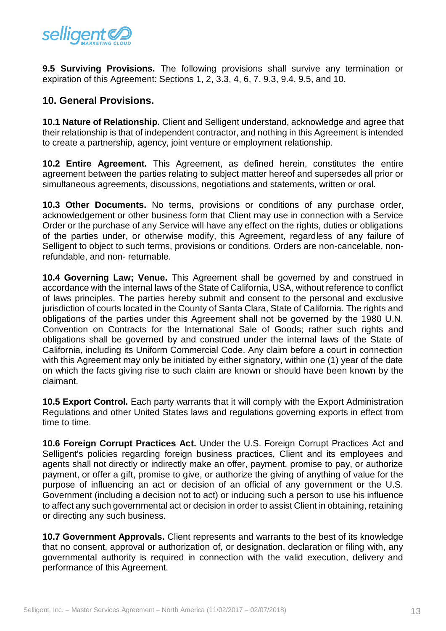

**9.5 Surviving Provisions.** The following provisions shall survive any termination or expiration of this Agreement: Sections 1, 2, 3.3, 4, 6, 7, 9.3, 9.4, 9.5, and 10.

#### **10. General Provisions.**

**10.1 Nature of Relationship.** Client and Selligent understand, acknowledge and agree that their relationship is that of independent contractor, and nothing in this Agreement is intended to create a partnership, agency, joint venture or employment relationship.

**10.2 Entire Agreement.** This Agreement, as defined herein, constitutes the entire agreement between the parties relating to subject matter hereof and supersedes all prior or simultaneous agreements, discussions, negotiations and statements, written or oral.

**10.3 Other Documents.** No terms, provisions or conditions of any purchase order, acknowledgement or other business form that Client may use in connection with a Service Order or the purchase of any Service will have any effect on the rights, duties or obligations of the parties under, or otherwise modify, this Agreement, regardless of any failure of Selligent to object to such terms, provisions or conditions. Orders are non-cancelable, nonrefundable, and non- returnable.

**10.4 Governing Law; Venue.** This Agreement shall be governed by and construed in accordance with the internal laws of the State of California, USA, without reference to conflict of laws principles. The parties hereby submit and consent to the personal and exclusive jurisdiction of courts located in the County of Santa Clara, State of California. The rights and obligations of the parties under this Agreement shall not be governed by the 1980 U.N. Convention on Contracts for the International Sale of Goods; rather such rights and obligations shall be governed by and construed under the internal laws of the State of California, including its Uniform Commercial Code. Any claim before a court in connection with this Agreement may only be initiated by either signatory, within one (1) year of the date on which the facts giving rise to such claim are known or should have been known by the claimant.

**10.5 Export Control.** Each party warrants that it will comply with the Export Administration Regulations and other United States laws and regulations governing exports in effect from time to time.

**10.6 Foreign Corrupt Practices Act.** Under the U.S. Foreign Corrupt Practices Act and Selligent's policies regarding foreign business practices, Client and its employees and agents shall not directly or indirectly make an offer, payment, promise to pay, or authorize payment, or offer a gift, promise to give, or authorize the giving of anything of value for the purpose of influencing an act or decision of an official of any government or the U.S. Government (including a decision not to act) or inducing such a person to use his influence to affect any such governmental act or decision in order to assist Client in obtaining, retaining or directing any such business.

**10.7 Government Approvals.** Client represents and warrants to the best of its knowledge that no consent, approval or authorization of, or designation, declaration or filing with, any governmental authority is required in connection with the valid execution, delivery and performance of this Agreement.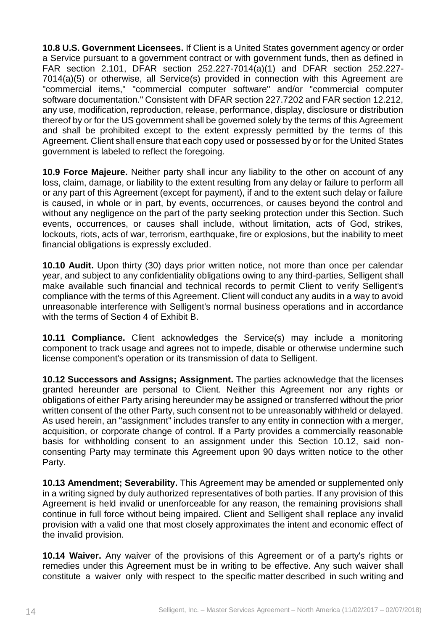**10.8 U.S. Government Licensees.** If Client is a United States government agency or order a Service pursuant to a government contract or with government funds, then as defined in FAR section 2.101, DFAR section 252.227-7014(a)(1) and DFAR section 252.227- 7014(a)(5) or otherwise, all Service(s) provided in connection with this Agreement are "commercial items," "commercial computer software" and/or "commercial computer software documentation." Consistent with DFAR section 227.7202 and FAR section 12.212, any use, modification, reproduction, release, performance, display, disclosure or distribution thereof by or for the US government shall be governed solely by the terms of this Agreement and shall be prohibited except to the extent expressly permitted by the terms of this Agreement. Client shall ensure that each copy used or possessed by or for the United States government is labeled to reflect the foregoing.

**10.9 Force Majeure.** Neither party shall incur any liability to the other on account of any loss, claim, damage, or liability to the extent resulting from any delay or failure to perform all or any part of this Agreement (except for payment), if and to the extent such delay or failure is caused, in whole or in part, by events, occurrences, or causes beyond the control and without any negligence on the part of the party seeking protection under this Section. Such events, occurrences, or causes shall include, without limitation, acts of God, strikes, lockouts, riots, acts of war, terrorism, earthquake, fire or explosions, but the inability to meet financial obligations is expressly excluded.

**10.10 Audit.** Upon thirty (30) days prior written notice, not more than once per calendar year, and subject to any confidentiality obligations owing to any third-parties, Selligent shall make available such financial and technical records to permit Client to verify Selligent's compliance with the terms of this Agreement. Client will conduct any audits in a way to avoid unreasonable interference with Selligent's normal business operations and in accordance with the terms of Section 4 of Exhibit B.

**10.11 Compliance.** Client acknowledges the Service(s) may include a monitoring component to track usage and agrees not to impede, disable or otherwise undermine such license component's operation or its transmission of data to Selligent.

**10.12 Successors and Assigns; Assignment.** The parties acknowledge that the licenses granted hereunder are personal to Client. Neither this Agreement nor any rights or obligations of either Party arising hereunder may be assigned or transferred without the prior written consent of the other Party, such consent not to be unreasonably withheld or delayed. As used herein, an "assignment" includes transfer to any entity in connection with a merger, acquisition, or corporate change of control. If a Party provides a commercially reasonable basis for withholding consent to an assignment under this Section 10.12, said nonconsenting Party may terminate this Agreement upon 90 days written notice to the other Party.

**10.13 Amendment; Severability.** This Agreement may be amended or supplemented only in a writing signed by duly authorized representatives of both parties. If any provision of this Agreement is held invalid or unenforceable for any reason, the remaining provisions shall continue in full force without being impaired. Client and Selligent shall replace any invalid provision with a valid one that most closely approximates the intent and economic effect of the invalid provision.

**10.14 Waiver.** Any waiver of the provisions of this Agreement or of a party's rights or remedies under this Agreement must be in writing to be effective. Any such waiver shall constitute a waiver only with respect to the specific matter described in such writing and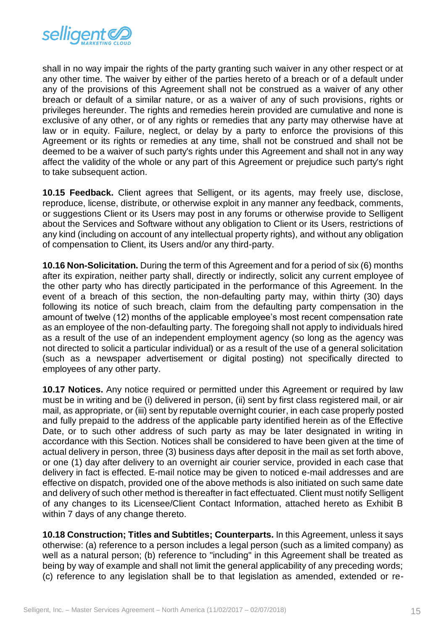

shall in no way impair the rights of the party granting such waiver in any other respect or at any other time. The waiver by either of the parties hereto of a breach or of a default under any of the provisions of this Agreement shall not be construed as a waiver of any other breach or default of a similar nature, or as a waiver of any of such provisions, rights or privileges hereunder. The rights and remedies herein provided are cumulative and none is exclusive of any other, or of any rights or remedies that any party may otherwise have at law or in equity. Failure, neglect, or delay by a party to enforce the provisions of this Agreement or its rights or remedies at any time, shall not be construed and shall not be deemed to be a waiver of such party's rights under this Agreement and shall not in any way affect the validity of the whole or any part of this Agreement or prejudice such party's right to take subsequent action.

**10.15 Feedback.** Client agrees that Selligent, or its agents, may freely use, disclose, reproduce, license, distribute, or otherwise exploit in any manner any feedback, comments, or suggestions Client or its Users may post in any forums or otherwise provide to Selligent about the Services and Software without any obligation to Client or its Users, restrictions of any kind (including on account of any intellectual property rights), and without any obligation of compensation to Client, its Users and/or any third-party.

**10.16 Non-Solicitation.** During the term of this Agreement and for a period of six (6) months after its expiration, neither party shall, directly or indirectly, solicit any current employee of the other party who has directly participated in the performance of this Agreement. In the event of a breach of this section, the non-defaulting party may, within thirty (30) days following its notice of such breach, claim from the defaulting party compensation in the amount of twelve (12) months of the applicable employee's most recent compensation rate as an employee of the non-defaulting party. The foregoing shall not apply to individuals hired as a result of the use of an independent employment agency (so long as the agency was not directed to solicit a particular individual) or as a result of the use of a general solicitation (such as a newspaper advertisement or digital posting) not specifically directed to employees of any other party.

**10.17 Notices.** Any notice required or permitted under this Agreement or required by law must be in writing and be (i) delivered in person, (ii) sent by first class registered mail, or air mail, as appropriate, or (iii) sent by reputable overnight courier, in each case properly posted and fully prepaid to the address of the applicable party identified herein as of the Effective Date, or to such other address of such party as may be later designated in writing in accordance with this Section. Notices shall be considered to have been given at the time of actual delivery in person, three (3) business days after deposit in the mail as set forth above, or one (1) day after delivery to an overnight air courier service, provided in each case that delivery in fact is effected. E-mail notice may be given to noticed e-mail addresses and are effective on dispatch, provided one of the above methods is also initiated on such same date and delivery of such other method is thereafter in fact effectuated. Client must notify Selligent of any changes to its Licensee/Client Contact Information, attached hereto as Exhibit B within 7 days of any change thereto.

**10.18 Construction; Titles and Subtitles; Counterparts.** In this Agreement, unless it says otherwise: (a) reference to a person includes a legal person (such as a limited company) as well as a natural person; (b) reference to "including" in this Agreement shall be treated as being by way of example and shall not limit the general applicability of any preceding words; (c) reference to any legislation shall be to that legislation as amended, extended or re-